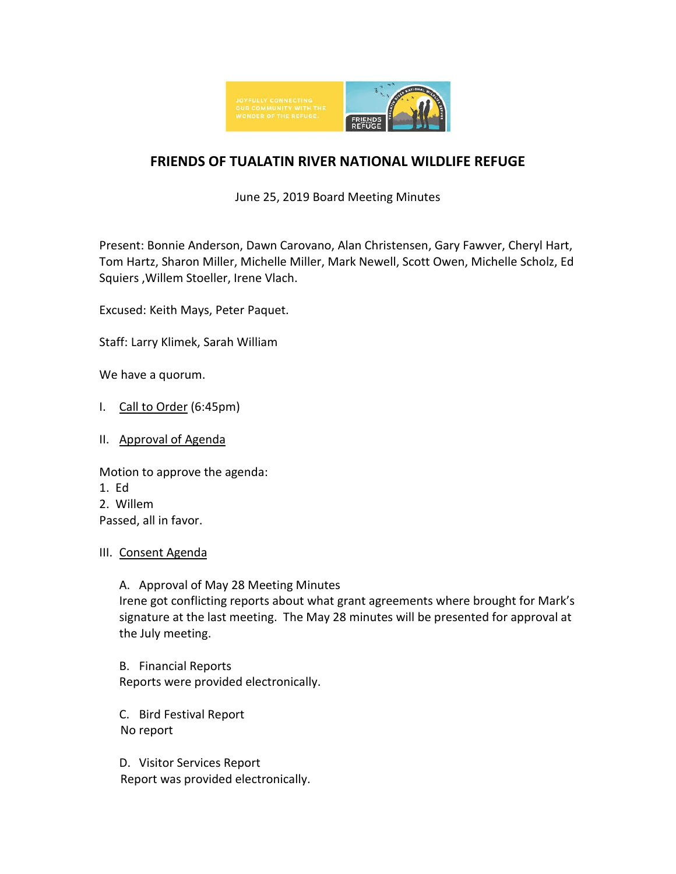

# **FRIENDS OF TUALATIN RIVER NATIONAL WILDLIFE REFUGE**

June 25, 2019 Board Meeting Minutes

Present: Bonnie Anderson, Dawn Carovano, Alan Christensen, Gary Fawver, Cheryl Hart, Tom Hartz, Sharon Miller, Michelle Miller, Mark Newell, Scott Owen, Michelle Scholz, Ed Squiers ,Willem Stoeller, Irene Vlach.

Excused: Keith Mays, Peter Paquet.

Staff: Larry Klimek, Sarah William

We have a quorum.

- I. Call to Order (6:45pm)
- II. Approval of Agenda

Motion to approve the agenda: 1. Ed 2. Willem Passed, all in favor.

#### III. Consent Agenda

A. Approval of May 28 Meeting Minutes Irene got conflicting reports about what grant agreements where brought for Mark's signature at the last meeting. The May 28 minutes will be presented for approval at the July meeting.

B. Financial Reports Reports were provided electronically.

C. Bird Festival Report No report

D. Visitor Services Report Report was provided electronically.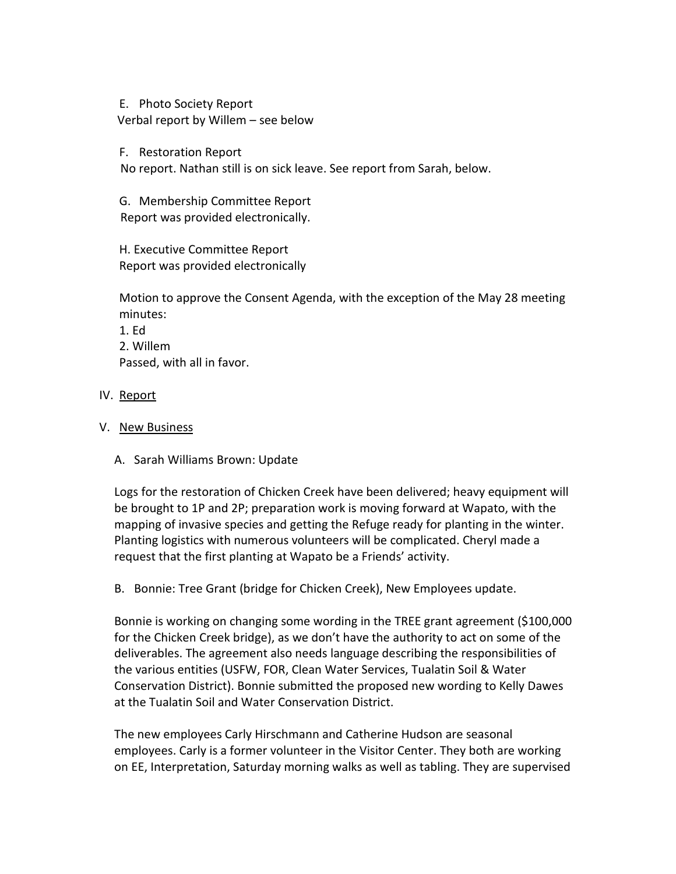E. Photo Society Report Verbal report by Willem – see below

F. Restoration Report

No report. Nathan still is on sick leave. See report from Sarah, below.

G. Membership Committee Report Report was provided electronically.

H. Executive Committee Report Report was provided electronically

Motion to approve the Consent Agenda, with the exception of the May 28 meeting minutes:

- 1. Ed 2. Willem Passed, with all in favor.
- IV. Report
- V. New Business
	- A. Sarah Williams Brown: Update

Logs for the restoration of Chicken Creek have been delivered; heavy equipment will be brought to 1P and 2P; preparation work is moving forward at Wapato, with the mapping of invasive species and getting the Refuge ready for planting in the winter. Planting logistics with numerous volunteers will be complicated. Cheryl made a request that the first planting at Wapato be a Friends' activity.

B. Bonnie: Tree Grant (bridge for Chicken Creek), New Employees update.

Bonnie is working on changing some wording in the TREE grant agreement (\$100,000 for the Chicken Creek bridge), as we don't have the authority to act on some of the deliverables. The agreement also needs language describing the responsibilities of the various entities (USFW, FOR, Clean Water Services, Tualatin Soil & Water Conservation District). Bonnie submitted the proposed new wording to Kelly Dawes at the Tualatin Soil and Water Conservation District.

The new employees Carly Hirschmann and Catherine Hudson are seasonal employees. Carly is a former volunteer in the Visitor Center. They both are working on EE, Interpretation, Saturday morning walks as well as tabling. They are supervised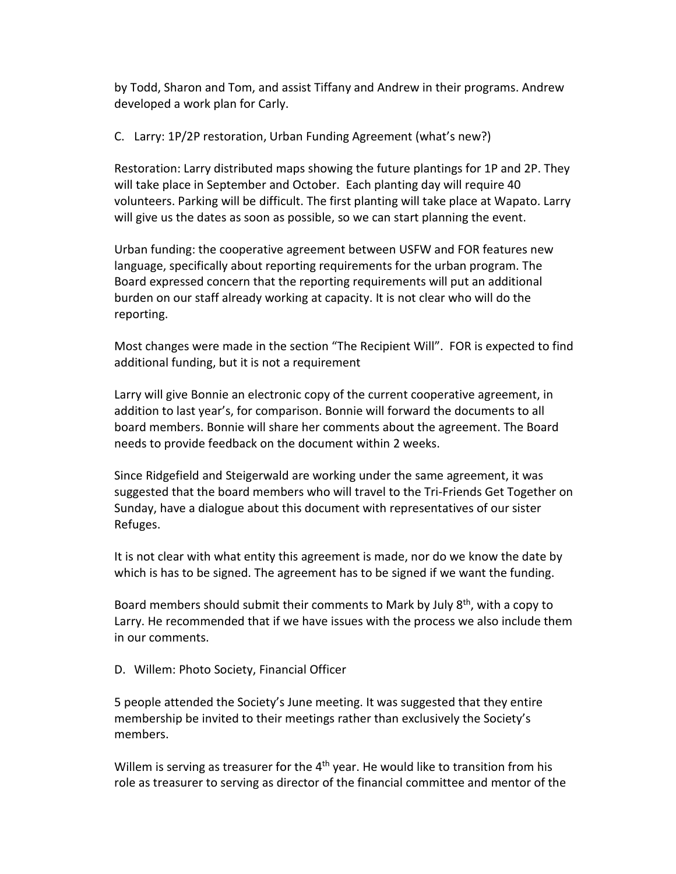by Todd, Sharon and Tom, and assist Tiffany and Andrew in their programs. Andrew developed a work plan for Carly.

C. Larry: 1P/2P restoration, Urban Funding Agreement (what's new?)

Restoration: Larry distributed maps showing the future plantings for 1P and 2P. They will take place in September and October. Each planting day will require 40 volunteers. Parking will be difficult. The first planting will take place at Wapato. Larry will give us the dates as soon as possible, so we can start planning the event.

Urban funding: the cooperative agreement between USFW and FOR features new language, specifically about reporting requirements for the urban program. The Board expressed concern that the reporting requirements will put an additional burden on our staff already working at capacity. It is not clear who will do the reporting.

Most changes were made in the section "The Recipient Will". FOR is expected to find additional funding, but it is not a requirement

Larry will give Bonnie an electronic copy of the current cooperative agreement, in addition to last year's, for comparison. Bonnie will forward the documents to all board members. Bonnie will share her comments about the agreement. The Board needs to provide feedback on the document within 2 weeks.

Since Ridgefield and Steigerwald are working under the same agreement, it was suggested that the board members who will travel to the Tri-Friends Get Together on Sunday, have a dialogue about this document with representatives of our sister Refuges.

It is not clear with what entity this agreement is made, nor do we know the date by which is has to be signed. The agreement has to be signed if we want the funding.

Board members should submit their comments to Mark by July  $8^{th}$ , with a copy to Larry. He recommended that if we have issues with the process we also include them in our comments.

D. Willem: Photo Society, Financial Officer

5 people attended the Society's June meeting. It was suggested that they entire membership be invited to their meetings rather than exclusively the Society's members.

Willem is serving as treasurer for the  $4<sup>th</sup>$  year. He would like to transition from his role as treasurer to serving as director of the financial committee and mentor of the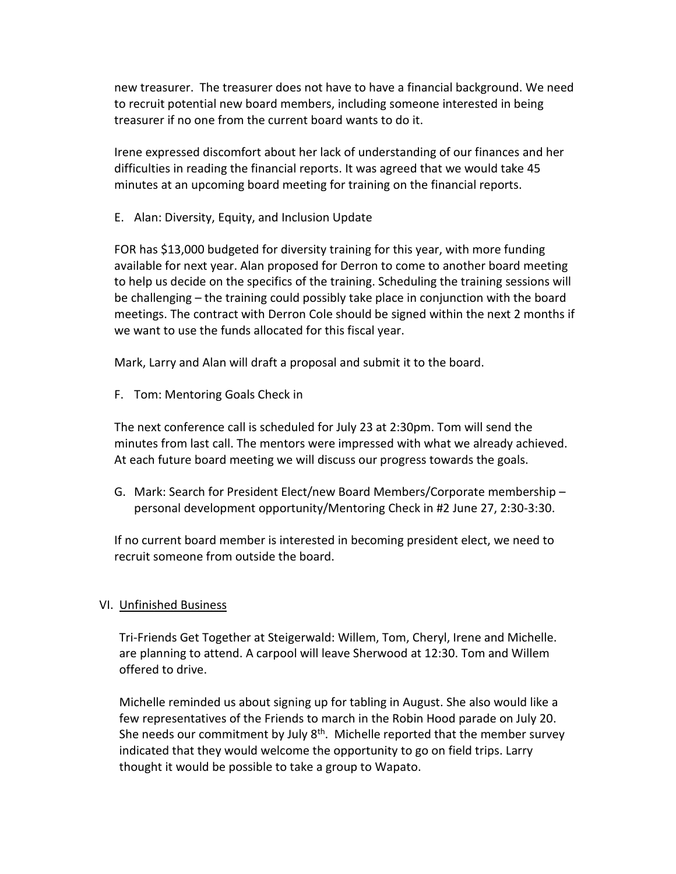new treasurer. The treasurer does not have to have a financial background. We need to recruit potential new board members, including someone interested in being treasurer if no one from the current board wants to do it.

Irene expressed discomfort about her lack of understanding of our finances and her difficulties in reading the financial reports. It was agreed that we would take 45 minutes at an upcoming board meeting for training on the financial reports.

E. Alan: Diversity, Equity, and Inclusion Update

FOR has \$13,000 budgeted for diversity training for this year, with more funding available for next year. Alan proposed for Derron to come to another board meeting to help us decide on the specifics of the training. Scheduling the training sessions will be challenging – the training could possibly take place in conjunction with the board meetings. The contract with Derron Cole should be signed within the next 2 months if we want to use the funds allocated for this fiscal year.

Mark, Larry and Alan will draft a proposal and submit it to the board.

F. Tom: Mentoring Goals Check in

The next conference call is scheduled for July 23 at 2:30pm. Tom will send the minutes from last call. The mentors were impressed with what we already achieved. At each future board meeting we will discuss our progress towards the goals.

G. Mark: Search for President Elect/new Board Members/Corporate membership – personal development opportunity/Mentoring Check in #2 June 27, 2:30-3:30.

If no current board member is interested in becoming president elect, we need to recruit someone from outside the board.

### VI. Unfinished Business

Tri-Friends Get Together at Steigerwald: Willem, Tom, Cheryl, Irene and Michelle. are planning to attend. A carpool will leave Sherwood at 12:30. Tom and Willem offered to drive.

Michelle reminded us about signing up for tabling in August. She also would like a few representatives of the Friends to march in the Robin Hood parade on July 20. She needs our commitment by July  $8<sup>th</sup>$ . Michelle reported that the member survey indicated that they would welcome the opportunity to go on field trips. Larry thought it would be possible to take a group to Wapato.